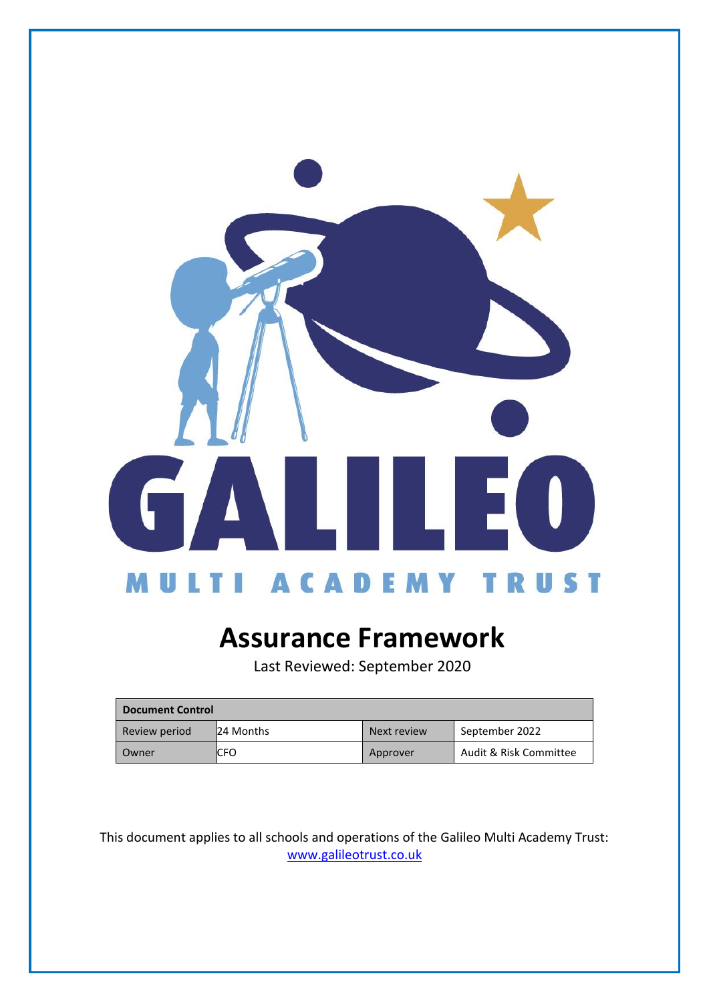

# **Assurance Framework**

Last Reviewed: September 2020

| <b>Document Control</b> |                  |             |                        |
|-------------------------|------------------|-------------|------------------------|
| Review period           | <b>24 Months</b> | Next review | September 2022         |
| Owner                   | ICFO             | Approver    | Audit & Risk Committee |

This document applies to all schools and operations of the Galileo Multi Academy Trust: [www.galileotrust.co.uk](http://www.galileotrust.co.uk/)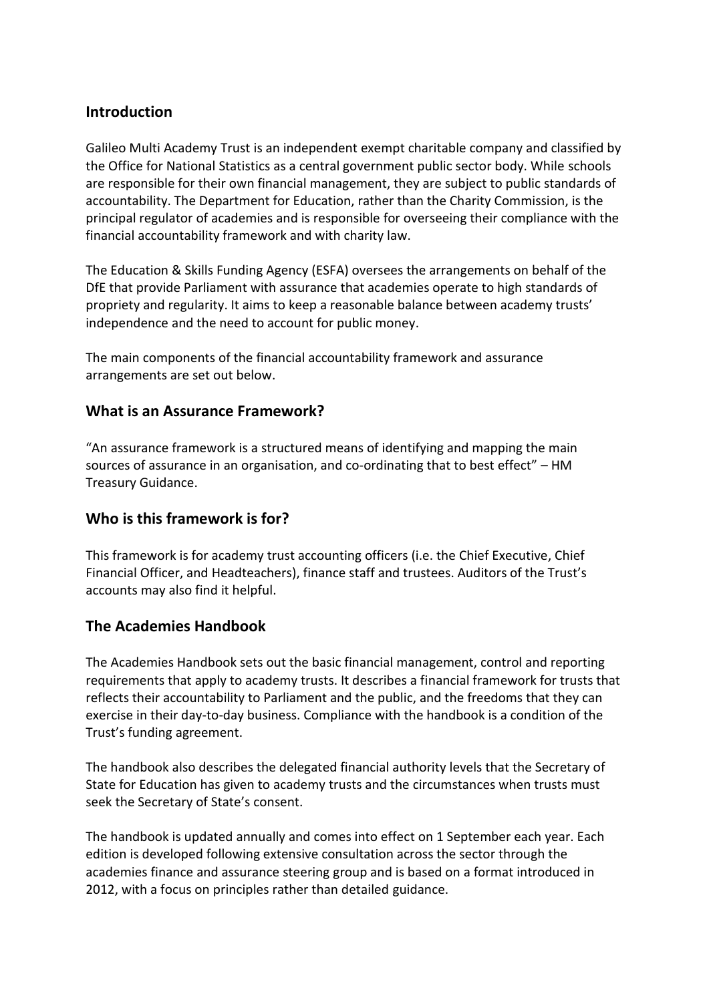## **Introduction**

Galileo Multi Academy Trust is an independent exempt charitable company and classified by the Office for National Statistics as a central government public sector body. While schools are responsible for their own financial management, they are subject to public standards of accountability. The Department for Education, rather than the Charity Commission, is the principal regulator of academies and is responsible for overseeing their compliance with the financial accountability framework and with charity law.

The Education & Skills Funding Agency (ESFA) oversees the arrangements on behalf of the DfE that provide Parliament with assurance that academies operate to high standards of propriety and regularity. It aims to keep a reasonable balance between academy trusts' independence and the need to account for public money.

The main components of the financial accountability framework and assurance arrangements are set out below.

### **What is an Assurance Framework?**

"An assurance framework is a structured means of identifying and mapping the main sources of assurance in an organisation, and co-ordinating that to best effect" – HM Treasury Guidance.

### **Who is this framework is for?**

This framework is for academy trust accounting officers (i.e. the Chief Executive, Chief Financial Officer, and Headteachers), finance staff and trustees. Auditors of the Trust's accounts may also find it helpful.

# **The Academies Handbook**

The Academies Handbook sets out the basic financial management, control and reporting requirements that apply to academy trusts. It describes a financial framework for trusts that reflects their accountability to Parliament and the public, and the freedoms that they can exercise in their day-to-day business. Compliance with the handbook is a condition of the Trust's funding agreement.

The handbook also describes the delegated financial authority levels that the Secretary of State for Education has given to academy trusts and the circumstances when trusts must seek the Secretary of State's consent.

The handbook is updated annually and comes into effect on 1 September each year. Each edition is developed following extensive consultation across the sector through the academies finance and assurance steering group and is based on a format introduced in 2012, with a focus on principles rather than detailed guidance.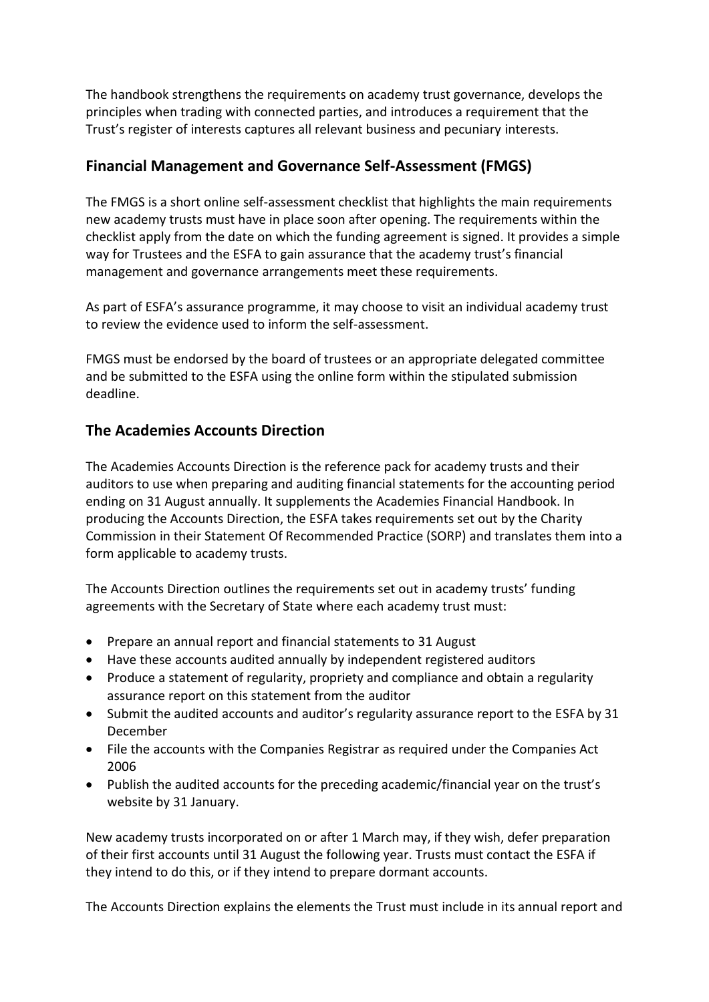The handbook strengthens the requirements on academy trust governance, develops the principles when trading with connected parties, and introduces a requirement that the Trust's register of interests captures all relevant business and pecuniary interests.

## **Financial Management and Governance Self-Assessment (FMGS)**

The FMGS is a short online self-assessment checklist that highlights the main requirements new academy trusts must have in place soon after opening. The requirements within the checklist apply from the date on which the funding agreement is signed. It provides a simple way for Trustees and the ESFA to gain assurance that the academy trust's financial management and governance arrangements meet these requirements.

As part of ESFA's assurance programme, it may choose to visit an individual academy trust to review the evidence used to inform the self-assessment.

FMGS must be endorsed by the board of trustees or an appropriate delegated committee and be submitted to the ESFA using the online form within the stipulated submission deadline.

## **The Academies Accounts Direction**

The Academies Accounts Direction is the reference pack for academy trusts and their auditors to use when preparing and auditing financial statements for the accounting period ending on 31 August annually. It supplements the Academies Financial Handbook. In producing the Accounts Direction, the ESFA takes requirements set out by the Charity Commission in their Statement Of Recommended Practice (SORP) and translates them into a form applicable to academy trusts.

The Accounts Direction outlines the requirements set out in academy trusts' funding agreements with the Secretary of State where each academy trust must:

- Prepare an annual report and financial statements to 31 August
- Have these accounts audited annually by independent registered auditors
- Produce a statement of regularity, propriety and compliance and obtain a regularity assurance report on this statement from the auditor
- Submit the audited accounts and auditor's regularity assurance report to the ESFA by 31 December
- File the accounts with the Companies Registrar as required under the Companies Act 2006
- Publish the audited accounts for the preceding academic/financial year on the trust's website by 31 January.

New academy trusts incorporated on or after 1 March may, if they wish, defer preparation of their first accounts until 31 August the following year. Trusts must contact the ESFA if they intend to do this, or if they intend to prepare dormant accounts.

The Accounts Direction explains the elements the Trust must include in its annual report and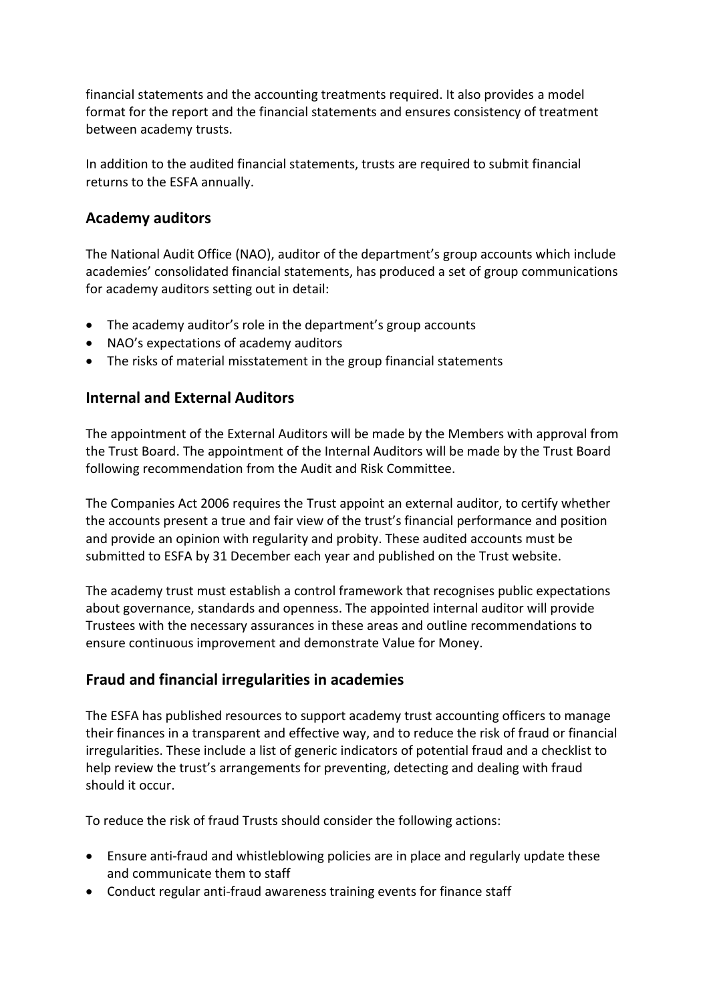financial statements and the accounting treatments required. It also provides a model format for the report and the financial statements and ensures consistency of treatment between academy trusts.

In addition to the audited financial statements, trusts are required to submit financial returns to the ESFA annually.

## **Academy auditors**

The National Audit Office (NAO), auditor of the department's group accounts which include academies' consolidated financial statements, has produced a set of group communications for academy auditors setting out in detail:

- The academy auditor's role in the department's group accounts
- NAO's expectations of academy auditors
- The risks of material misstatement in the group financial statements

### **Internal and External Auditors**

The appointment of the External Auditors will be made by the Members with approval from the Trust Board. The appointment of the Internal Auditors will be made by the Trust Board following recommendation from the Audit and Risk Committee.

The Companies Act 2006 requires the Trust appoint an external auditor, to certify whether the accounts present a true and fair view of the trust's financial performance and position and provide an opinion with regularity and probity. These audited accounts must be submitted to ESFA by 31 December each year and published on the Trust website.

The academy trust must establish a control framework that recognises public expectations about governance, standards and openness. The appointed internal auditor will provide Trustees with the necessary assurances in these areas and outline recommendations to ensure continuous improvement and demonstrate Value for Money.

### **Fraud and financial irregularities in academies**

The ESFA has published resources to support academy trust accounting officers to manage their finances in a transparent and effective way, and to reduce the risk of fraud or financial irregularities. These include a list of generic indicators of potential fraud and a checklist to help review the trust's arrangements for preventing, detecting and dealing with fraud should it occur.

To reduce the risk of fraud Trusts should consider the following actions:

- Ensure anti-fraud and whistleblowing policies are in place and regularly update these and communicate them to staff
- Conduct regular anti-fraud awareness training events for finance staff